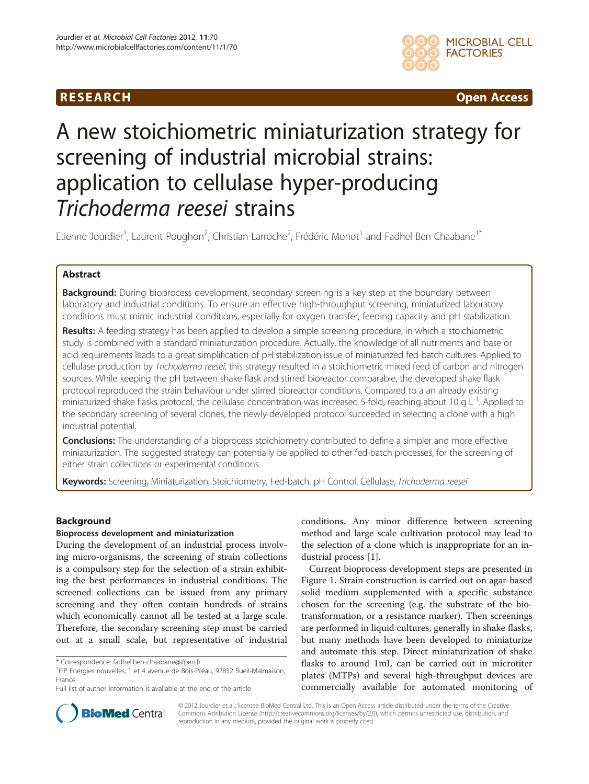# **RESEARCH CHINESEARCH CHINESEARCH CHINESE**



# A new stoichiometric miniaturization strategy for screening of industrial microbial strains: application to cellulase hyper-producing Trichoderma reesei strains

Etienne Jourdier<sup>1</sup>, Laurent Poughon<sup>2</sup>, Christian Larroche<sup>2</sup>, Frédéric Monot<sup>1</sup> and Fadhel Ben Chaabane<sup>1\*</sup>

## Abstract

**Background:** During bioprocess development, secondary screening is a key step at the boundary between laboratory and industrial conditions. To ensure an effective high-throughput screening, miniaturized laboratory conditions must mimic industrial conditions, especially for oxygen transfer, feeding capacity and pH stabilization.

Results: A feeding strategy has been applied to develop a simple screening procedure, in which a stoichiometric study is combined with a standard miniaturization procedure. Actually, the knowledge of all nutriments and base or acid requirements leads to a great simplification of pH stabilization issue of miniaturized fed-batch cultures. Applied to cellulase production by Trichoderma reesei, this strategy resulted in a stoichiometric mixed feed of carbon and nitrogen sources. While keeping the pH between shake flask and stirred bioreactor comparable, the developed shake flask protocol reproduced the strain behaviour under stirred bioreactor conditions. Compared to a an already existing miniaturized shake flasks protocol, the cellulase concentration was increased 5-fold, reaching about 10 g  $L^{-1}$ . Applied to the secondary screening of several clones, the newly developed protocol succeeded in selecting a clone with a high industrial potential.

**Conclusions:** The understanding of a bioprocess stoichiometry contributed to define a simpler and more effective miniaturization. The suggested strategy can potentially be applied to other fed-batch processes, for the screening of either strain collections or experimental conditions.

Keywords: Screening, Miniaturization, Stoichiometry, Fed-batch, pH Control, Cellulase, Trichoderma reesei

## Background

## Bioprocess development and miniaturization

During the development of an industrial process involving micro-organisms, the screening of strain collections is a compulsory step for the selection of a strain exhibiting the best performances in industrial conditions. The screened collections can be issued from any primary screening and they often contain hundreds of strains which economically cannot all be tested at a large scale. Therefore, the secondary screening step must be carried out at a small scale, but representative of industrial

conditions. Any minor difference between screening method and large scale cultivation protocol may lead to the selection of a clone which is inappropriate for an industrial process [[1\]](#page-9-0).

Current bioprocess development steps are presented in Figure [1](#page-1-0). Strain construction is carried out on agar-based solid medium supplemented with a specific substance chosen for the screening (e.g. the substrate of the biotransformation, or a resistance marker). Then screenings are performed in liquid cultures, generally in shake flasks, but many methods have been developed to miniaturize and automate this step. Direct miniaturization of shake flasks to around 1mL can be carried out in microtiter plates (MTPs) and several high-throughput devices are commercially available for automated monitoring of



© 2012 Jourdier et al.; licensee BioMed Central Ltd. This is an Open Access article distributed under the terms of the Creative Commons Attribution License [\(http://creativecommons.org/licenses/by/2.0\)](http://creativecommons.org/licenses/by/2.0), which permits unrestricted use, distribution, and reproduction in any medium, provided the original work is properly cited.

<sup>\*</sup> Correspondence: [fadhel.ben-chaabane@ifpen.fr](mailto:fadhel.ben-chaabane@ifpen.fr) <sup>1</sup>

<sup>&</sup>lt;sup>1</sup>IFP Energies nouvelles, 1 et 4 avenue de Bois-Préau, 92852 Rueil-Malmaison, France

Full list of author information is available at the end of the article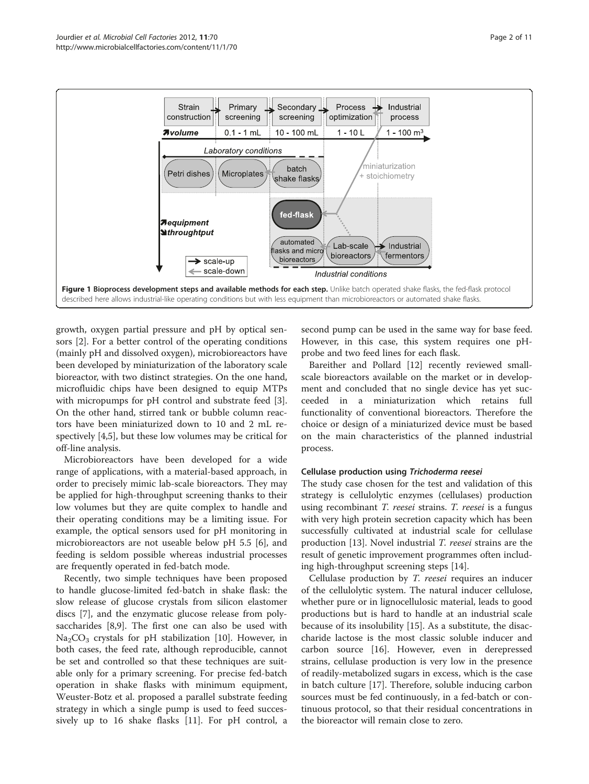<span id="page-1-0"></span>

growth, oxygen partial pressure and pH by optical sensors [[2](#page-9-0)]. For a better control of the operating conditions (mainly pH and dissolved oxygen), microbioreactors have been developed by miniaturization of the laboratory scale bioreactor, with two distinct strategies. On the one hand, microfluidic chips have been designed to equip MTPs with micropumps for pH control and substrate feed [\[3](#page-9-0)]. On the other hand, stirred tank or bubble column reactors have been miniaturized down to 10 and 2 mL respectively [\[4,5](#page-9-0)], but these low volumes may be critical for off-line analysis.

Microbioreactors have been developed for a wide range of applications, with a material-based approach, in order to precisely mimic lab-scale bioreactors. They may be applied for high-throughput screening thanks to their low volumes but they are quite complex to handle and their operating conditions may be a limiting issue. For example, the optical sensors used for pH monitoring in microbioreactors are not useable below pH 5.5 [\[6](#page-9-0)], and feeding is seldom possible whereas industrial processes are frequently operated in fed-batch mode.

Recently, two simple techniques have been proposed to handle glucose-limited fed-batch in shake flask: the slow release of glucose crystals from silicon elastomer discs [[7\]](#page-9-0), and the enzymatic glucose release from polysaccharides [\[8](#page-9-0)[,9\]](#page-10-0). The first one can also be used with  $Na<sub>2</sub>CO<sub>3</sub>$  crystals for pH stabilization [\[10\]](#page-10-0). However, in both cases, the feed rate, although reproducible, cannot be set and controlled so that these techniques are suitable only for a primary screening. For precise fed-batch operation in shake flasks with minimum equipment, Weuster-Botz et al. proposed a parallel substrate feeding strategy in which a single pump is used to feed successively up to 16 shake flasks [\[11\]](#page-10-0). For pH control, a second pump can be used in the same way for base feed. However, in this case, this system requires one pHprobe and two feed lines for each flask.

Bareither and Pollard [[12\]](#page-10-0) recently reviewed smallscale bioreactors available on the market or in development and concluded that no single device has yet succeeded in a miniaturization which retains full functionality of conventional bioreactors. Therefore the choice or design of a miniaturized device must be based on the main characteristics of the planned industrial process.

## Cellulase production using Trichoderma reesei

The study case chosen for the test and validation of this strategy is cellulolytic enzymes (cellulases) production using recombinant T. reesei strains. T. reesei is a fungus with very high protein secretion capacity which has been successfully cultivated at industrial scale for cellulase production [\[13](#page-10-0)]. Novel industrial T. reesei strains are the result of genetic improvement programmes often including high-throughput screening steps [\[14](#page-10-0)].

Cellulase production by T. reesei requires an inducer of the cellulolytic system. The natural inducer cellulose, whether pure or in lignocellulosic material, leads to good productions but is hard to handle at an industrial scale because of its insolubility [\[15](#page-10-0)]. As a substitute, the disaccharide lactose is the most classic soluble inducer and carbon source [[16](#page-10-0)]. However, even in derepressed strains, cellulase production is very low in the presence of readily-metabolized sugars in excess, which is the case in batch culture [\[17](#page-10-0)]. Therefore, soluble inducing carbon sources must be fed continuously, in a fed-batch or continuous protocol, so that their residual concentrations in the bioreactor will remain close to zero.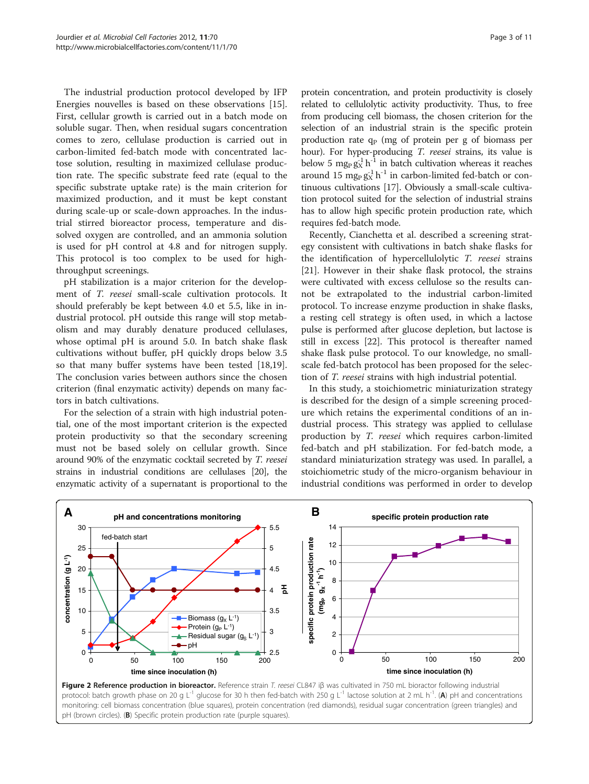<span id="page-2-0"></span>The industrial production protocol developed by IFP Energies nouvelles is based on these observations [\[15](#page-10-0)]. First, cellular growth is carried out in a batch mode on soluble sugar. Then, when residual sugars concentration comes to zero, cellulase production is carried out in carbon-limited fed-batch mode with concentrated lactose solution, resulting in maximized cellulase production rate. The specific substrate feed rate (equal to the specific substrate uptake rate) is the main criterion for maximized production, and it must be kept constant during scale-up or scale-down approaches. In the industrial stirred bioreactor process, temperature and dissolved oxygen are controlled, and an ammonia solution is used for pH control at 4.8 and for nitrogen supply. This protocol is too complex to be used for highthroughput screenings.

pH stabilization is a major criterion for the development of T. reesei small-scale cultivation protocols. It should preferably be kept between 4.0 et 5.5, like in industrial protocol. pH outside this range will stop metabolism and may durably denature produced cellulases, whose optimal pH is around 5.0. In batch shake flask cultivations without buffer, pH quickly drops below 3.5 so that many buffer systems have been tested [\[18,19](#page-10-0)]. The conclusion varies between authors since the chosen criterion (final enzymatic activity) depends on many factors in batch cultivations.

For the selection of a strain with high industrial potential, one of the most important criterion is the expected protein productivity so that the secondary screening must not be based solely on cellular growth. Since around 90% of the enzymatic cocktail secreted by T. reesei strains in industrial conditions are cellulases [\[20\]](#page-10-0), the enzymatic activity of a supernatant is proportional to the protein concentration, and protein productivity is closely related to cellulolytic activity productivity. Thus, to free from producing cell biomass, the chosen criterion for the selection of an industrial strain is the specific protein production rate  $q_P$  (mg of protein per g of biomass per hour). For hyper-producing T. reesei strains, its value is below 5 mg<sub>P</sub>  $g_X^{-1} h^{-1}$  in batch cultivation whereas it reaches around 15 mg<sub>P</sub>  $g_X^{-1}$  h<sup>-1</sup> in carbon-limited fed-batch or continuous cultivations [\[17\]](#page-10-0). Obviously a small-scale cultivation protocol suited for the selection of industrial strains has to allow high specific protein production rate, which requires fed-batch mode.

Recently, Cianchetta et al. described a screening strategy consistent with cultivations in batch shake flasks for the identification of hypercellulolytic T. reesei strains [[21\]](#page-10-0). However in their shake flask protocol, the strains were cultivated with excess cellulose so the results cannot be extrapolated to the industrial carbon-limited protocol. To increase enzyme production in shake flasks, a resting cell strategy is often used, in which a lactose pulse is performed after glucose depletion, but lactose is still in excess [[22](#page-10-0)]. This protocol is thereafter named shake flask pulse protocol. To our knowledge, no smallscale fed-batch protocol has been proposed for the selection of T. reesei strains with high industrial potential.

In this study, a stoichiometric miniaturization strategy is described for the design of a simple screening procedure which retains the experimental conditions of an industrial process. This strategy was applied to cellulase production by T. reesei which requires carbon-limited fed-batch and pH stabilization. For fed-batch mode, a standard miniaturization strategy was used. In parallel, a stoichiometric study of the micro-organism behaviour in industrial conditions was performed in order to develop



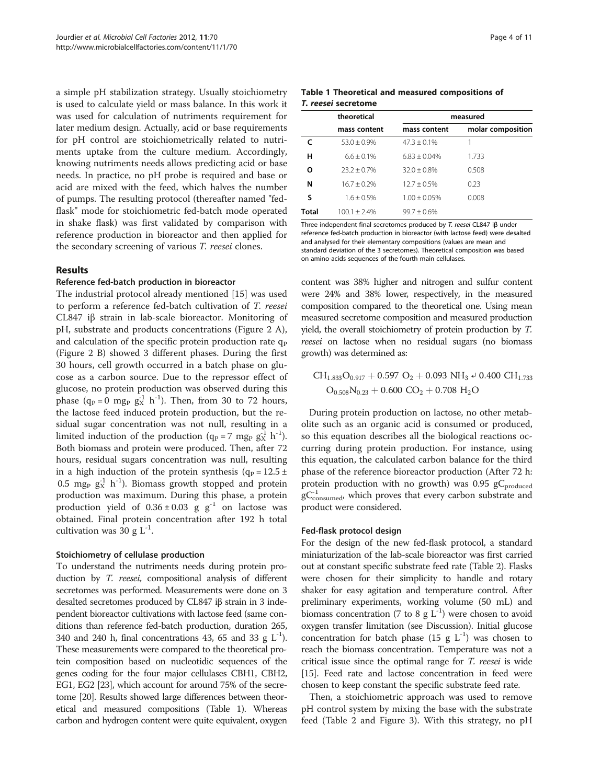a simple pH stabilization strategy. Usually stoichiometry is used to calculate yield or mass balance. In this work it was used for calculation of nutriments requirement for later medium design. Actually, acid or base requirements for pH control are stoichiometrically related to nutriments uptake from the culture medium. Accordingly, knowing nutriments needs allows predicting acid or base needs. In practice, no pH probe is required and base or acid are mixed with the feed, which halves the number of pumps. The resulting protocol (thereafter named "fedflask" mode for stoichiometric fed-batch mode operated in shake flask) was first validated by comparison with reference production in bioreactor and then applied for the secondary screening of various T. reesei clones.

## Results

## Reference fed-batch production in bioreactor

The industrial protocol already mentioned [\[15](#page-10-0)] was used to perform a reference fed-batch cultivation of T. reesei CL847 iβ strain in lab-scale bioreactor. Monitoring of pH, substrate and products concentrations (Figure [2](#page-2-0) A), and calculation of the specific protein production rate  $q<sub>p</sub>$ (Figure [2](#page-2-0) B) showed 3 different phases. During the first 30 hours, cell growth occurred in a batch phase on glucose as a carbon source. Due to the repressor effect of glucose, no protein production was observed during this phase ( $q_P = 0$  mg<sub>P</sub>  $g_X^{-1}$  h<sup>-1</sup>). Then, from 30 to 72 hours, the lactose feed induced protein production, but the residual sugar concentration was not null, resulting in a limited induction of the production  $(q_P = 7 \text{ mg}_P g_X^{-1} h^{-1})$ . Both biomass and protein were produced. Then, after 72 hours, residual sugars concentration was null, resulting in a high induction of the protein synthesis ( $q_P = 12.5 \pm 10^{-10}$ 0.5 mg<sub>P</sub>  $g_X^{-1}$  h<sup>-1</sup>). Biomass growth stopped and protein production was maximum. During this phase, a protein production yield of  $0.36 \pm 0.03$  g g<sup>-1</sup> on lactose was obtained. Final protein concentration after 192 h total cultivation was 30 g  $L^{-1}$ .

#### Stoichiometry of cellulase production

To understand the nutriments needs during protein production by T. reesei, compositional analysis of different secretomes was performed. Measurements were done on 3 desalted secretomes produced by CL847 iβ strain in 3 independent bioreactor cultivations with lactose feed (same conditions than reference fed-batch production, duration 265, 340 and 240 h, final concentrations 43, 65 and 33 g  $L^{-1}$ ). These measurements were compared to the theoretical protein composition based on nucleotidic sequences of the genes coding for the four major cellulases CBH1, CBH2, EG1, EG2 [\[23\]](#page-10-0), which account for around 75% of the secretome [\[20](#page-10-0)]. Results showed large differences between theoretical and measured compositions (Table 1). Whereas carbon and hydrogen content were quite equivalent, oxygen

| Table 1 Theoretical and measured compositions of |  |
|--------------------------------------------------|--|
| T. reesei secretome                              |  |

|       | theoretical     | measured        |                   |  |
|-------|-----------------|-----------------|-------------------|--|
|       | mass content    | mass content    | molar composition |  |
|       | $53.0 + 0.9%$   | $47.3 + 0.1\%$  |                   |  |
| н     | $6.6 + 0.1\%$   | $6.83 + 0.04\%$ | 1.733             |  |
| Ω     | $23.2 + 0.7\%$  | $32.0 + 0.8\%$  | 0.508             |  |
| N     | $16.7 + 0.2\%$  | $12.7 + 0.5\%$  | 0.23              |  |
| s     | $1.6 + 0.5%$    | $1.00 + 0.05\%$ | 0.008             |  |
| Total | $100.1 + 2.4\%$ | $99.7 + 0.6\%$  |                   |  |

Three independent final secretomes produced by T. reesei CL847 iβ under reference fed-batch production in bioreactor (with lactose feed) were desalted and analysed for their elementary compositions (values are mean and standard deviation of the 3 secretomes). Theoretical composition was based on amino-acids sequences of the fourth main cellulases.

content was 38% higher and nitrogen and sulfur content were 24% and 38% lower, respectively, in the measured composition compared to the theoretical one. Using mean measured secretome composition and measured production yield, the overall stoichiometry of protein production by T. reesei on lactose when no residual sugars (no biomass growth) was determined as:

## $CH_{1.833}O_{0.917} + 0.597 O_{2} + 0.093 NH_{3}$   $\leftrightarrow$  0.400 CH<sub>1.733</sub>  $O_{0.508}N_{0.23} + 0.600 CO_2 + 0.708 H_2O$

During protein production on lactose, no other metabolite such as an organic acid is consumed or produced, so this equation describes all the biological reactions occurring during protein production. For instance, using this equation, the calculated carbon balance for the third phase of the reference bioreactor production (After 72 h: protein production with no growth) was 0.95  $gC<sub>produced</sub>$  $gC_{\text{consumed}}^{1}$ , which proves that every carbon substrate and product were considered.

#### Fed-flask protocol design

For the design of the new fed-flask protocol, a standard miniaturization of the lab-scale bioreactor was first carried out at constant specific substrate feed rate (Table [2\)](#page-4-0). Flasks were chosen for their simplicity to handle and rotary shaker for easy agitation and temperature control. After preliminary experiments, working volume (50 mL) and biomass concentration (7 to 8  $g L^{-1}$ ) were chosen to avoid oxygen transfer limitation (see Discussion). Initial glucose concentration for batch phase  $(15 g L^{-1})$  was chosen to reach the biomass concentration. Temperature was not a critical issue since the optimal range for T. reesei is wide [[15](#page-10-0)]. Feed rate and lactose concentration in feed were chosen to keep constant the specific substrate feed rate.

Then, a stoichiometric approach was used to remove pH control system by mixing the base with the substrate feed (Table [2](#page-4-0) and Figure [3\)](#page-4-0). With this strategy, no pH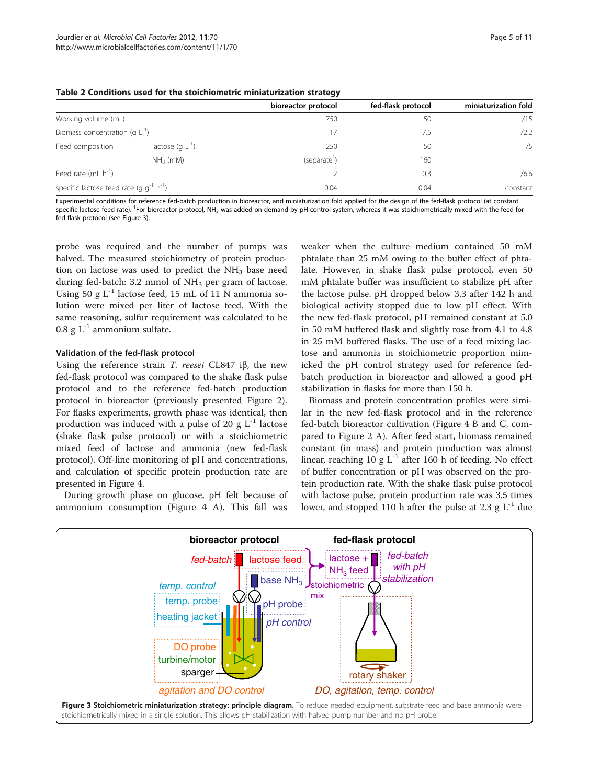#### <span id="page-4-0"></span>Table 2 Conditions used for the stoichiometric miniaturization strategy

|                                                          |                      | bioreactor protocol      | fed-flask protocol | miniaturization fold |
|----------------------------------------------------------|----------------------|--------------------------|--------------------|----------------------|
| Working volume (mL)                                      |                      | 750                      | 50                 | /15                  |
| Biomass concentration (q $L^{-1}$ )                      |                      |                          | 7.5                | 12.2                 |
| Feed composition                                         | lactose $(q L^{-1})$ | 250                      | 50                 | /5                   |
|                                                          | $NH3$ (mM)           | (separate <sup>1</sup> ) | 160                |                      |
| Feed rate (mL $h^{-1}$ )                                 |                      |                          | 0.3                | /6.6                 |
| specific lactose feed rate (g $q^{-1}$ h <sup>-1</sup> ) |                      | 0.04                     | 0.04               | constant             |

Experimental conditions for reference fed-batch production in bioreactor, and miniaturization fold applied for the design of the fed-flask protocol (at constant specific lactose feed rate). <sup>1</sup>For bioreactor protocol, NH<sub>3</sub> was added on demand by pH control system, whereas it was stoichiometrically mixed with the feed for fed-flask protocol (see Figure 3).

probe was required and the number of pumps was halved. The measured stoichiometry of protein production on lactose was used to predict the  $NH<sub>3</sub>$  base need during fed-batch: 3.2 mmol of  $NH<sub>3</sub>$  per gram of lactose. Using 50 g  $L^{-1}$  lactose feed, 15 mL of 11 N ammonia solution were mixed per liter of lactose feed. With the same reasoning, sulfur requirement was calculated to be 0.8 g  $L^{-1}$  ammonium sulfate.

## Validation of the fed-flask protocol

Using the reference strain T. reesei CL847 iβ, the new fed-flask protocol was compared to the shake flask pulse protocol and to the reference fed-batch production protocol in bioreactor (previously presented Figure [2](#page-2-0)). For flasks experiments, growth phase was identical, then production was induced with a pulse of 20 g  $L^{-1}$  lactose (shake flask pulse protocol) or with a stoichiometric mixed feed of lactose and ammonia (new fed-flask protocol). Off-line monitoring of pH and concentrations, and calculation of specific protein production rate are presented in Figure [4.](#page-5-0)

During growth phase on glucose, pH felt because of ammonium consumption (Figure [4](#page-5-0) A). This fall was

weaker when the culture medium contained 50 mM phtalate than 25 mM owing to the buffer effect of phtalate. However, in shake flask pulse protocol, even 50 mM phtalate buffer was insufficient to stabilize pH after the lactose pulse. pH dropped below 3.3 after 142 h and biological activity stopped due to low pH effect. With the new fed-flask protocol, pH remained constant at 5.0 in 50 mM buffered flask and slightly rose from 4.1 to 4.8 in 25 mM buffered flasks. The use of a feed mixing lactose and ammonia in stoichiometric proportion mimicked the pH control strategy used for reference fedbatch production in bioreactor and allowed a good pH stabilization in flasks for more than 150 h.

Biomass and protein concentration profiles were similar in the new fed-flask protocol and in the reference fed-batch bioreactor cultivation (Figure [4](#page-5-0) B and C, compared to Figure [2](#page-2-0) A). After feed start, biomass remained constant (in mass) and protein production was almost linear, reaching 10 g  $L^{-1}$  after 160 h of feeding. No effect of buffer concentration or pH was observed on the protein production rate. With the shake flask pulse protocol with lactose pulse, protein production rate was 3.5 times lower, and stopped 110 h after the pulse at 2.3 g  $L^{-1}$  due

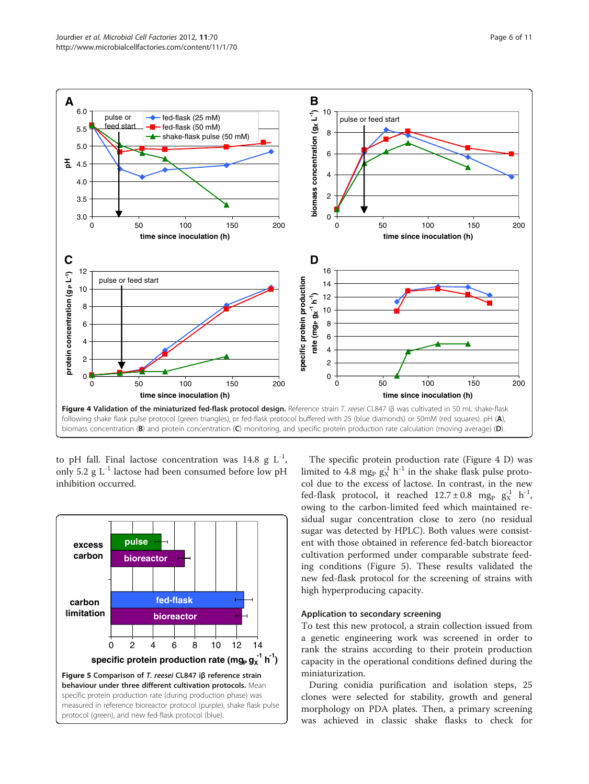<span id="page-5-0"></span>

to pH fall. Final lactose concentration was 14.8 g  $L^{-1}$ , only 5.2 g  $L^{-1}$  lactose had been consumed before low pH inhibition occurred.



The specific protein production rate (Figure 4 D) was limited to 4.8 mg<sub>P</sub>  $g_X^{-1}$  h<sup>-1</sup> in the shake flask pulse protocol due to the excess of lactose. In contrast, in the new fed-flask protocol, it reached  $12.7 \pm 0.8$  mg<sub>P</sub>  $g_X^{-1}$  h<sup>-1</sup>, owing to the carbon-limited feed which maintained residual sugar concentration close to zero (no residual sugar was detected by HPLC). Both values were consistent with those obtained in reference fed-batch bioreactor cultivation performed under comparable substrate feeding conditions (Figure 5). These results validated the new fed-flask protocol for the screening of strains with high hyperproducing capacity.

## Application to secondary screening

To test this new protocol, a strain collection issued from a genetic engineering work was screened in order to rank the strains according to their protein production capacity in the operational conditions defined during the miniaturization.

During conidia purification and isolation steps, 25 clones were selected for stability, growth and general morphology on PDA plates. Then, a primary screening was achieved in classic shake flasks to check for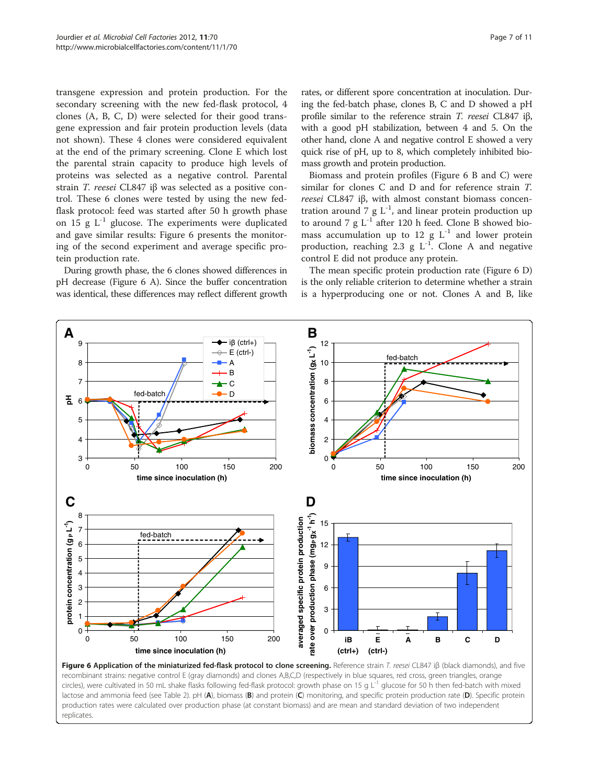transgene expression and protein production. For the secondary screening with the new fed-flask protocol, 4 clones (A, B, C, D) were selected for their good transgene expression and fair protein production levels (data not shown). These 4 clones were considered equivalent at the end of the primary screening. Clone E which lost the parental strain capacity to produce high levels of proteins was selected as a negative control. Parental strain T. reesei CL847 iβ was selected as a positive control. These 6 clones were tested by using the new fedflask protocol: feed was started after 50 h growth phase on 15 g  $L^{-1}$  glucose. The experiments were duplicated and gave similar results: Figure 6 presents the monitoring of the second experiment and average specific pro-

During growth phase, the 6 clones showed differences in pH decrease (Figure 6 A). Since the buffer concentration was identical, these differences may reflect different growth

tein production rate.

rates, or different spore concentration at inoculation. During the fed-batch phase, clones B, C and D showed a pH profile similar to the reference strain T. reesei CL847 iβ, with a good pH stabilization, between 4 and 5. On the other hand, clone A and negative control E showed a very quick rise of pH, up to 8, which completely inhibited biomass growth and protein production.

Biomass and protein profiles (Figure 6 B and C) were similar for clones C and D and for reference strain T. reesei CL847 iβ, with almost constant biomass concentration around  $7 g L^{-1}$ , and linear protein production up to around 7 g  $L^{-1}$  after 120 h feed. Clone B showed biomass accumulation up to 12 g  $L^{-1}$  and lower protein production, reaching 2.3 g  $L^{-1}$ . Clone A and negative control E did not produce any protein.

The mean specific protein production rate (Figure 6 D) is the only reliable criterion to determine whether a strain is a hyperproducing one or not. Clones A and B, like



replicates.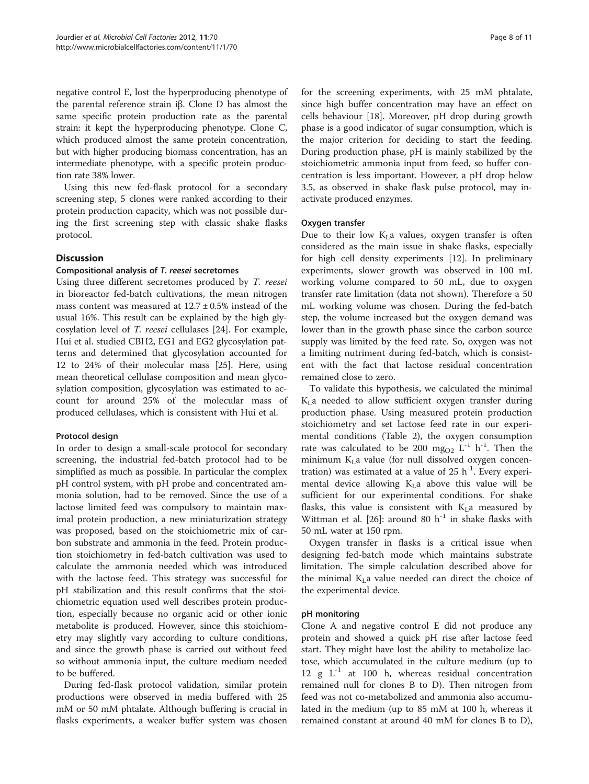negative control E, lost the hyperproducing phenotype of the parental reference strain iβ. Clone D has almost the same specific protein production rate as the parental strain: it kept the hyperproducing phenotype. Clone C, which produced almost the same protein concentration, but with higher producing biomass concentration, has an intermediate phenotype, with a specific protein production rate 38% lower.

Using this new fed-flask protocol for a secondary screening step, 5 clones were ranked according to their protein production capacity, which was not possible during the first screening step with classic shake flasks protocol.

## **Discussion**

## Compositional analysis of T. reesei secretomes

Using three different secretomes produced by T. reesei in bioreactor fed-batch cultivations, the mean nitrogen mass content was measured at  $12.7 \pm 0.5\%$  instead of the usual 16%. This result can be explained by the high glycosylation level of T. reesei cellulases [\[24\]](#page-10-0). For example, Hui et al. studied CBH2, EG1 and EG2 glycosylation patterns and determined that glycosylation accounted for 12 to 24% of their molecular mass [[25](#page-10-0)]. Here, using mean theoretical cellulase composition and mean glycosylation composition, glycosylation was estimated to account for around 25% of the molecular mass of produced cellulases, which is consistent with Hui et al.

## Protocol design

In order to design a small-scale protocol for secondary screening, the industrial fed-batch protocol had to be simplified as much as possible. In particular the complex pH control system, with pH probe and concentrated ammonia solution, had to be removed. Since the use of a lactose limited feed was compulsory to maintain maximal protein production, a new miniaturization strategy was proposed, based on the stoichiometric mix of carbon substrate and ammonia in the feed. Protein production stoichiometry in fed-batch cultivation was used to calculate the ammonia needed which was introduced with the lactose feed. This strategy was successful for pH stabilization and this result confirms that the stoichiometric equation used well describes protein production, especially because no organic acid or other ionic metabolite is produced. However, since this stoichiometry may slightly vary according to culture conditions, and since the growth phase is carried out without feed so without ammonia input, the culture medium needed to be buffered.

During fed-flask protocol validation, similar protein productions were observed in media buffered with 25 mM or 50 mM phtalate. Although buffering is crucial in flasks experiments, a weaker buffer system was chosen for the screening experiments, with 25 mM phtalate, since high buffer concentration may have an effect on cells behaviour [[18\]](#page-10-0). Moreover, pH drop during growth phase is a good indicator of sugar consumption, which is the major criterion for deciding to start the feeding. During production phase, pH is mainly stabilized by the stoichiometric ammonia input from feed, so buffer concentration is less important. However, a pH drop below 3.5, as observed in shake flask pulse protocol, may inactivate produced enzymes.

## Oxygen transfer

Due to their low  $K<sub>L</sub>$  values, oxygen transfer is often considered as the main issue in shake flasks, especially for high cell density experiments [\[12\]](#page-10-0). In preliminary experiments, slower growth was observed in 100 mL working volume compared to 50 mL, due to oxygen transfer rate limitation (data not shown). Therefore a 50 mL working volume was chosen. During the fed-batch step, the volume increased but the oxygen demand was lower than in the growth phase since the carbon source supply was limited by the feed rate. So, oxygen was not a limiting nutriment during fed-batch, which is consistent with the fact that lactose residual concentration remained close to zero.

To validate this hypothesis, we calculated the minimal KLa needed to allow sufficient oxygen transfer during production phase. Using measured protein production stoichiometry and set lactose feed rate in our experimental conditions (Table [2\)](#page-4-0), the oxygen consumption rate was calculated to be 200 mg<sub>O2</sub> L<sup>-1</sup> h<sup>-1</sup>. Then the minimum  $K<sub>L</sub>$  a value (for null dissolved oxygen concentration) was estimated at a value of 25  $h^{-1}$ . Every experimental device allowing  $K<sub>L</sub>$  above this value will be sufficient for our experimental conditions. For shake flasks, this value is consistent with  $K<sub>L</sub>$  a measured by Wittman et al. [\[26](#page-10-0)]: around 80  $h^{-1}$  in shake flasks with 50 mL water at 150 rpm.

Oxygen transfer in flasks is a critical issue when designing fed-batch mode which maintains substrate limitation. The simple calculation described above for the minimal  $K<sub>L</sub>$ a value needed can direct the choice of the experimental device.

## pH monitoring

Clone A and negative control E did not produce any protein and showed a quick pH rise after lactose feed start. They might have lost the ability to metabolize lactose, which accumulated in the culture medium (up to 12 g  $L^{-1}$  at 100 h, whereas residual concentration remained null for clones B to D). Then nitrogen from feed was not co-metabolized and ammonia also accumulated in the medium (up to 85 mM at 100 h, whereas it remained constant at around 40 mM for clones B to D),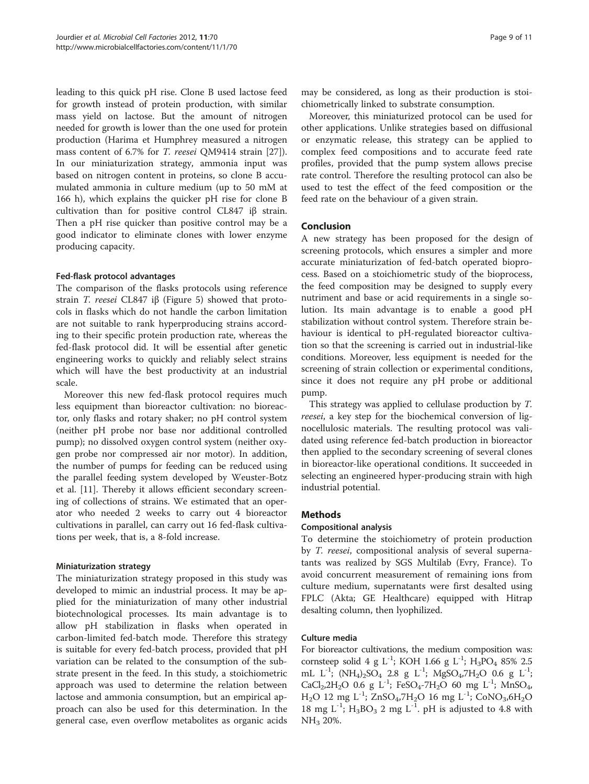leading to this quick pH rise. Clone B used lactose feed for growth instead of protein production, with similar mass yield on lactose. But the amount of nitrogen needed for growth is lower than the one used for protein production (Harima et Humphrey measured a nitrogen mass content of 6.7% for T. reesei QM9414 strain [\[27](#page-10-0)]). In our miniaturization strategy, ammonia input was based on nitrogen content in proteins, so clone B accumulated ammonia in culture medium (up to 50 mM at 166 h), which explains the quicker pH rise for clone B cultivation than for positive control CL847 iβ strain. Then a pH rise quicker than positive control may be a good indicator to eliminate clones with lower enzyme producing capacity.

## Fed-flask protocol advantages

The comparison of the flasks protocols using reference strain T. reesei CL847 iβ (Figure [5\)](#page-5-0) showed that protocols in flasks which do not handle the carbon limitation are not suitable to rank hyperproducing strains according to their specific protein production rate, whereas the fed-flask protocol did. It will be essential after genetic engineering works to quickly and reliably select strains which will have the best productivity at an industrial scale.

Moreover this new fed-flask protocol requires much less equipment than bioreactor cultivation: no bioreactor, only flasks and rotary shaker; no pH control system (neither pH probe nor base nor additional controlled pump); no dissolved oxygen control system (neither oxygen probe nor compressed air nor motor). In addition, the number of pumps for feeding can be reduced using the parallel feeding system developed by Weuster-Botz et al. [\[11](#page-10-0)]. Thereby it allows efficient secondary screening of collections of strains. We estimated that an operator who needed 2 weeks to carry out 4 bioreactor cultivations in parallel, can carry out 16 fed-flask cultivations per week, that is, a 8-fold increase.

## Miniaturization strategy

The miniaturization strategy proposed in this study was developed to mimic an industrial process. It may be applied for the miniaturization of many other industrial biotechnological processes. Its main advantage is to allow pH stabilization in flasks when operated in carbon-limited fed-batch mode. Therefore this strategy is suitable for every fed-batch process, provided that pH variation can be related to the consumption of the substrate present in the feed. In this study, a stoichiometric approach was used to determine the relation between lactose and ammonia consumption, but an empirical approach can also be used for this determination. In the general case, even overflow metabolites as organic acids

may be considered, as long as their production is stoichiometrically linked to substrate consumption.

Moreover, this miniaturized protocol can be used for other applications. Unlike strategies based on diffusional or enzymatic release, this strategy can be applied to complex feed compositions and to accurate feed rate profiles, provided that the pump system allows precise rate control. Therefore the resulting protocol can also be used to test the effect of the feed composition or the feed rate on the behaviour of a given strain.

## Conclusion

A new strategy has been proposed for the design of screening protocols, which ensures a simpler and more accurate miniaturization of fed-batch operated bioprocess. Based on a stoichiometric study of the bioprocess, the feed composition may be designed to supply every nutriment and base or acid requirements in a single solution. Its main advantage is to enable a good pH stabilization without control system. Therefore strain behaviour is identical to pH-regulated bioreactor cultivation so that the screening is carried out in industrial-like conditions. Moreover, less equipment is needed for the screening of strain collection or experimental conditions, since it does not require any pH probe or additional pump.

This strategy was applied to cellulase production by T. reesei, a key step for the biochemical conversion of lignocellulosic materials. The resulting protocol was validated using reference fed-batch production in bioreactor then applied to the secondary screening of several clones in bioreactor-like operational conditions. It succeeded in selecting an engineered hyper-producing strain with high industrial potential.

## Methods

## Compositional analysis

To determine the stoichiometry of protein production by T. reesei, compositional analysis of several supernatants was realized by SGS Multilab (Evry, France). To avoid concurrent measurement of remaining ions from culture medium, supernatants were first desalted using FPLC (Akta; GE Healthcare) equipped with Hitrap desalting column, then lyophilized.

## Culture media

For bioreactor cultivations, the medium composition was: cornsteep solid 4 g L<sup>-1</sup>; KOH 1.66 g L<sup>-1</sup>; H<sub>3</sub>PO<sub>4</sub> 85% 2.5 mL L<sup>-1</sup>; (NH<sub>4</sub>)<sub>2</sub>SO<sub>4</sub> 2.8 g L<sup>-1</sup>; MgSO<sub>4</sub>,7H<sub>2</sub>O 0.6 g L<sup>-1</sup>;  $CaCl_{2}$ ,  $2H_{2}O$  0.6 g L<sup>-1</sup>; FeSO<sub>4</sub>-7H<sub>2</sub>O 60 mg L<sup>-1</sup>; MnSO<sub>4</sub>,  $H_2O$  12 mg L<sup>-1</sup>; ZnSO<sub>4</sub>,7H<sub>2</sub>O 16 mg L<sup>-1</sup>; CoNO<sub>3</sub>,6H<sub>2</sub>O 18 mg  $L^{-1}$ ; H<sub>3</sub>BO<sub>3</sub> 2 mg  $L^{-1}$ . pH is adjusted to 4.8 with  $NH<sub>3</sub> 20%.$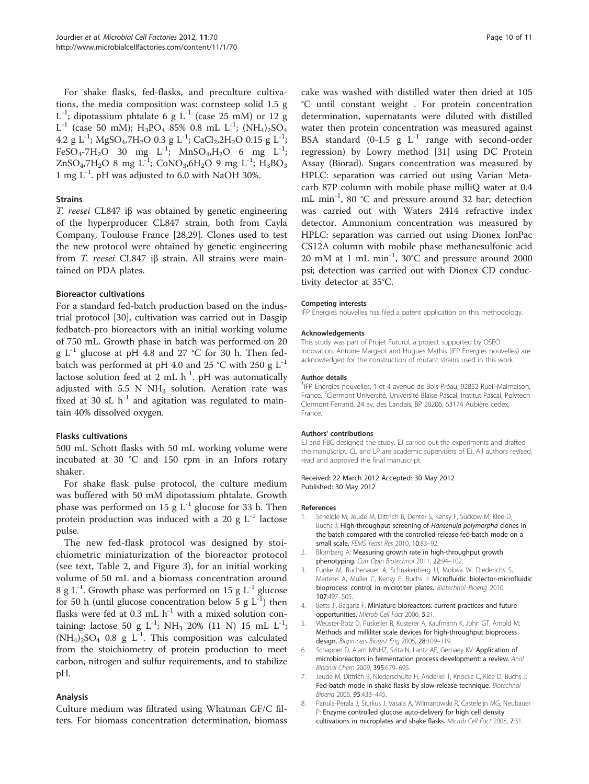<span id="page-9-0"></span>For shake flasks, fed-flasks, and preculture cultivations, the media composition was: cornsteep solid 1.5 g  $L^{-1}$ ; dipotassium phtalate 6 g  $L^{-1}$  (case 25 mM) or 12 g  $L^{-1}$  (case 50 mM); H<sub>3</sub>PO<sub>4</sub> 85% 0.8 mL  $L^{-1}$ ; (NH<sub>4</sub>)<sub>2</sub>SO<sub>4</sub> 4.2 g L<sup>-1</sup>; MgSO<sub>4</sub>,7H<sub>2</sub>O 0.3 g L<sup>-1</sup>; CaCl<sub>2</sub>,2H<sub>2</sub>O 0.15 g L<sup>-1</sup>; FeSO<sub>4</sub>-7H<sub>2</sub>O 30 mg L<sup>-1</sup>; MnSO<sub>4</sub>,H<sub>2</sub>O 6 mg L<sup>-1</sup>;  $ZnSO_4$ ,7H<sub>2</sub>O 8 mg L<sup>-1</sup>; CoNO<sub>3</sub>,6H<sub>2</sub>O 9 mg L<sup>-1</sup>; H<sub>3</sub>BO<sub>3</sub> 1 mg  $L^{-1}$ . pH was adjusted to 6.0 with NaOH 30%.

## Strains

T. reesei CL847 iβ was obtained by genetic engineering of the hyperproducer CL847 strain, both from Cayla Company, Toulouse France [\[28,29\]](#page-10-0). Clones used to test the new protocol were obtained by genetic engineering from T. reesei CL847 iβ strain. All strains were maintained on PDA plates.

#### Bioreactor cultivations

For a standard fed-batch production based on the industrial protocol [[30\]](#page-10-0), cultivation was carried out in Dasgip fedbatch-pro bioreactors with an initial working volume of 750 mL. Growth phase in batch was performed on 20 g  $L^{-1}$  glucose at pH 4.8 and 27 °C for 30 h. Then fedbatch was performed at pH 4.0 and 25 °C with 250 g  $L^{-1}$ lactose solution feed at 2 mL  $h^{-1}$ . pH was automatically adjusted with 5.5 N  $NH<sub>3</sub>$  solution. Aeration rate was fixed at 30 sL  $h^{-1}$  and agitation was regulated to maintain 40% dissolved oxygen.

#### Flasks cultivations

500 mL Schott flasks with 50 mL working volume were incubated at 30 °C and 150 rpm in an Infors rotary shaker.

For shake flask pulse protocol, the culture medium was buffered with 50 mM dipotassium phtalate. Growth phase was performed on 15 g  $L^{-1}$  glucose for 33 h. Then protein production was induced with a 20 g  $L^{-1}$  lactose pulse.

The new fed-flask protocol was designed by stoichiometric miniaturization of the bioreactor protocol (see text, Table [2,](#page-4-0) and Figure [3](#page-4-0)), for an initial working volume of 50 mL and a biomass concentration around 8 g  $L^{-1}$ . Growth phase was performed on 15 g  $L^{-1}$  glucose for 50 h (until glucose concentration below 5 g  $L^{-1}$ ) then flasks were fed at 0.3 mL  $h^{-1}$  with a mixed solution containing: lactose 50 g  $L^{-1}$ ; NH<sub>3</sub> 20% (11 N) 15 mL  $L^{-1}$ ;  $(NH_4)_2SO_4$  0.8 g L<sup>-1</sup>. This composition was calculated from the stoichiometry of protein production to meet carbon, nitrogen and sulfur requirements, and to stabilize pH.

#### Analysis

Culture medium was filtrated using Whatman GF/C filters. For biomass concentration determination, biomass

cake was washed with distilled water then dried at 105 °C until constant weight . For protein concentration determination, supernatants were diluted with distilled water then protein concentration was measured against BSA standard (0-1.5 g  $L^{-1}$  range with second-order regression) by Lowry method [\[31](#page-10-0)] using DC Protein Assay (Biorad). Sugars concentration was measured by HPLC: separation was carried out using Varian Metacarb 87P column with mobile phase milliQ water at 0.4 mL min-1, 80 °C and pressure around 32 bar; detection was carried out with Waters 2414 refractive index detector. Ammonium concentration was measured by HPLC: separation was carried out using Dionex IonPac CS12A column with mobile phase methanesulfonic acid 20 mM at 1 mL min<sup>-1</sup>, 30°C and pressure around 2000 psi; detection was carried out with Dionex CD conductivity detector at 35°C.

#### Competing interests

IFP Energies nouvelles has filed a patent application on this methodology.

#### Acknowledgements

This study was part of Projet Futurol, a project supported by OSEO Innovation. Antoine Margeot and Hugues Mathis (IFP Energies nouvelles) are acknowledged for the construction of mutant strains used in this work.

#### Author details

<sup>1</sup>IFP Energies nouvelles, 1 et 4 avenue de Bois-Préau, 92852 Rueil-Malmaison, France. <sup>2</sup>Clermont Université, Université Blaise Pascal, Institut Pascal, Polytech Clermont-Ferrand, 24 av. des Landais, BP 20206, 63174 Aubière cedex, France.

#### Authors' contributions

EJ and FBC designed the study. EJ carried out the experiments and drafted the manuscript. CL and LP are academic supervisers of EJ. All authors revised, read and approved the final manuscript.

Received: 22 March 2012 Accepted: 30 May 2012 Published: 30 May 2012

#### References

- 1. Scheidle M, Jeude M, Dittrich B, Denter S, Kensy F, Suckow M, Klee D, Buchs J: High-throughput screening of Hansenula polymorpha clones in the batch compared with the controlled-release fed-batch mode on a small scale. FEMS Yeast Res 2010, 10:83–92.
- 2. Blomberg A: Measuring growth rate in high-throughput growth phenotyping. Curr Opin Biotechnol 2011, 22:94–102.
- 3. Funke M, Buchenauer A, Schnakenberg U, Mokwa W, Diederichs S, Mertens A, Muller C, Kensy F, Buchs J: Microfluidic biolector-microfluidic bioprocess control in microtiter plates. Biotechnol Bioeng 2010, 107:497–505.
- 4. Betts JI, Baganz F: Miniature bioreactors: current practices and future opportunities. Microb Cell Fact 2006, 5:21.
- 5. Weuster-Botz D, Puskeiler R, Kusterer A, Kaufmann K, John GT, Arnold M: Methods and milliliter scale devices for high-throughput bioprocess design. Bioprocess Biosyst Eng 2005, 28:109–119.
- 6. Schapper D, Alam MNHZ, Szita N, Lantz AE, Gernaey KV: Application of microbioreactors in fermentation process development: a review. Anal Bioanal Chem 2009, 395:679–695.
- 7. Jeude M, Dittrich B, Niederschulte H, Anderlei T, Knocke C, Klee D, Buchs J: Fed-batch mode in shake flasks by slow-release technique. Biotechnol Bioeng 2006, 95:433–445.
- 8. Panula-Perala J, Siurkus J, Vasala A, Wilmanowski R, Casteleijn MG, Neubauer P: Enzyme controlled glucose auto-delivery for high cell density cultivations in microplates and shake flasks. Microb Cell Fact 2008, 7:31.